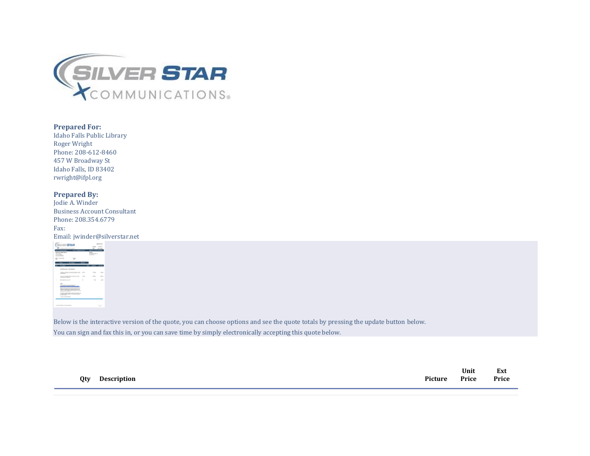

## **Prepared For:**

Idaho Falls Public Library Roger Wright Phone: 208-612-8460 457 W Broadway St Idaho Falls, ID 83402 rwright@ifpl.org

## **Prepared By:**

| Jodie A. Winder                    |
|------------------------------------|
| <b>Business Account Consultant</b> |
| Phone: 208.354.6779                |
| Fax:                               |
| Email: jwinder@silverstar.net      |
|                                    |



Below is the interactive version of the quote, you can choose options and see the quote totals by pressing the update button below. You can sign and fax this in, or you can save time by simply electronically accepting this quote below.

| Qty | <b>Description</b> | Picture | Unit<br>Price | Ext<br>$P$ rice |
|-----|--------------------|---------|---------------|-----------------|
|     |                    |         |               |                 |